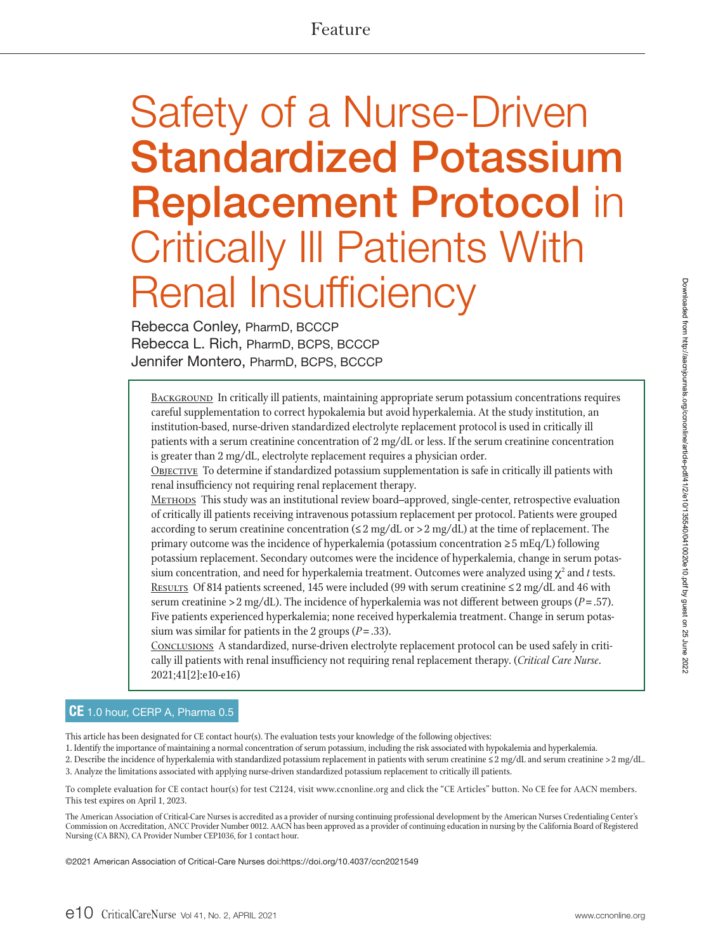# Feature

# Safety of a Nurse-Driven Standardized Potassium Replacement Protocol in Critically Ill Patients With Renal Insufficiency

Rebecca Conley, PharmD, BCCCP Rebecca L. Rich, PharmD, BCPS, BCCCP Jennifer Montero, PharmD, BCPS, BCCCP

BACKGROUND In critically ill patients, maintaining appropriate serum potassium concentrations requires careful supplementation to correct hypokalemia but avoid hyperkalemia. At the study institution, an institution-based, nurse-driven standardized electrolyte replacement protocol is used in critically ill patients with a serum creatinine concentration of 2 mg/dL or less. If the serum creatinine concentration is greater than 2 mg/dL, electrolyte replacement requires a physician order.

OBJECTIVE To determine if standardized potassium supplementation is safe in critically ill patients with renal insufficiency not requiring renal replacement therapy.

METHODS This study was an institutional review board–approved, single-center, retrospective evaluation of critically ill patients receiving intravenous potassium replacement per protocol. Patients were grouped according to serum creatinine concentration ( $\leq 2$  mg/dL or  $> 2$  mg/dL) at the time of replacement. The primary outcome was the incidence of hyperkalemia (potassium concentration ≥ 5 mEq/L) following potassium replacement. Secondary outcomes were the incidence of hyperkalemia, change in serum potassium concentration, and need for hyperkalemia treatment. Outcomes were analyzed using  $\chi^2$  and  $t$  tests. RESULTS Of 814 patients screened, 145 were included (99 with serum creatinine  $\leq 2$  mg/dL and 46 with serum creatinine  $> 2$  mg/dL). The incidence of hyperkalemia was not different between groups ( $P = .57$ ). Five patients experienced hyperkalemia; none received hyperkalemia treatment. Change in serum potassium was similar for patients in the 2 groups (*P*= .33).

Conclusions A standardized, nurse-driven electrolyte replacement protocol can be used safely in critically ill patients with renal insufficiency not requiring renal replacement therapy. (*Critical Care Nurse*. 2021;41[2]:e10-e16)

#### CE 1.0 hour, CERP A, Pharma 0.5

This article has been designated for CE contact hour(s). The evaluation tests your knowledge of the following objectives:

1. Identify the importance of maintaining a normal concentration of serum potassium, including the risk associated with hypokalemia and hyperkalemia.

2. Describe the incidence of hyperkalemia with standardized potassium replacement in patients with serum creatinine ≤ 2 mg/dL and serum creatinine > 2 mg/dL. 3. Analyze the limitations associated with applying nurse-driven standardized potassium replacement to critically ill patients.

To complete evaluation for CE contact hour(s) for test C2124, visit www.ccnonline.org and click the "CE Articles" button. No CE fee for AACN members. This test expires on April 1, 2023.

The American Association of Critical-Care Nurses is accredited as a provider of nursing continuing professional development by the American Nurses Credentialing Center's Commission on Accreditation, ANCC Provider Number 0012. AACN has been approved as a provider of continuing education in nursing by the California Board of Registered Nursing (CA BRN), CA Provider Number CEP1036, for 1 contact hour.

©2021 American Association of Critical-Care Nurses doi:https://doi.org/10.4037/ccn2021549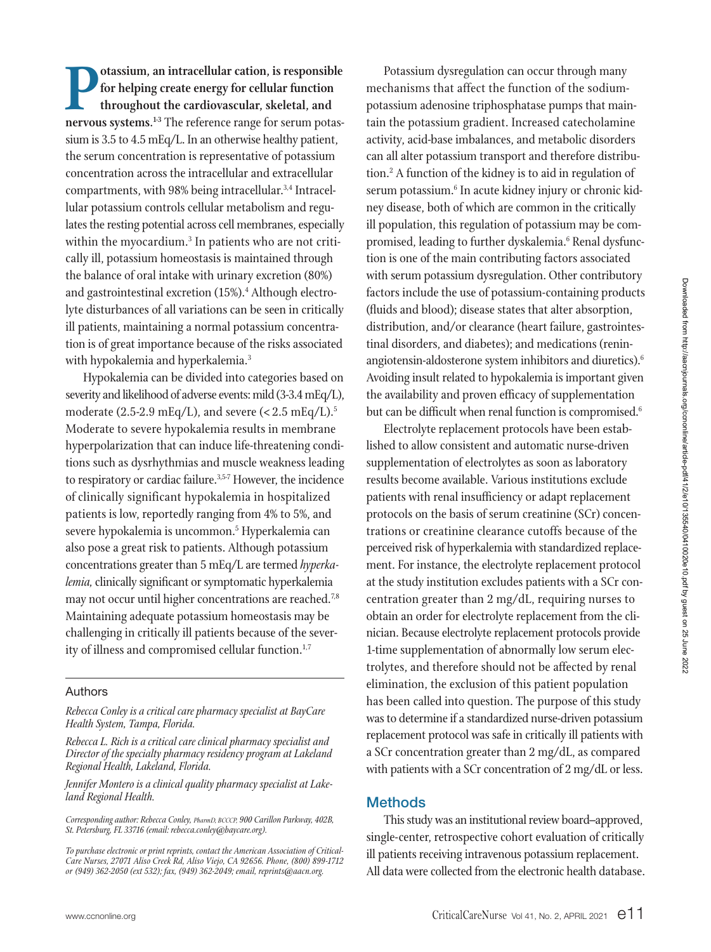**Potassium, an intracellular cation, is responsible<br>for helping create energy for cellular function<br>throughout the cardiovascular, skeletal, and<br>nervous systems <sup>13</sup> The reference range for serum notasfor helping create energy for cellular function throughout the cardiovascular, skeletal, and**  nervous systems.<sup>1-3</sup> The reference range for serum potassium is 3.5 to 4.5 mEq/L. In an otherwise healthy patient, the serum concentration is representative of potassium concentration across the intracellular and extracellular compartments, with 98% being intracellular.3,4 Intracellular potassium controls cellular metabolism and regulates the resting potential across cell membranes, especially within the myocardium.<sup>3</sup> In patients who are not critically ill, potassium homeostasis is maintained through the balance of oral intake with urinary excretion (80%) and gastrointestinal excretion (15%).<sup>4</sup> Although electrolyte disturbances of all variations can be seen in critically ill patients, maintaining a normal potassium concentration is of great importance because of the risks associated with hypokalemia and hyperkalemia.<sup>3</sup>

Hypokalemia can be divided into categories based on severity and likelihood of adverse events: mild (3-3.4 mEq/L), moderate  $(2.5{\text -}2.9 \text{ mEq/L})$ , and severe  $(< 2.5 \text{ mEq/L})$ .<sup>5</sup> Moderate to severe hypokalemia results in membrane hyperpolarization that can induce life-threatening conditions such as dysrhythmias and muscle weakness leading to respiratory or cardiac failure.<sup>3,5-7</sup> However, the incidence of clinically significant hypokalemia in hospitalized patients is low, reportedly ranging from 4% to 5%, and severe hypokalemia is uncommon.<sup>5</sup> Hyperkalemia can also pose a great risk to patients. Although potassium concentrations greater than 5 mEq/L are termed *hyperkalemia,* clinically significant or symptomatic hyperkalemia may not occur until higher concentrations are reached.<sup>7,8</sup> Maintaining adequate potassium homeostasis may be challenging in critically ill patients because of the severity of illness and compromised cellular function.<sup>1,7</sup>

#### Authors

*Rebecca Conley is a critical care pharmacy specialist at BayCare Health System, Tampa, Florida.* 

*Rebecca L. Rich is a critical care clinical pharmacy specialist and Director of the specialty pharmacy residency program at Lakeland Regional Health, Lakeland, Florida.* 

*Jennifer Montero is a clinical quality pharmacy specialist at Lakeland Regional Health.*

*Corresponding author: Rebecca Conley, PharmD, BCCCP, 900 Carillon Parkway, 402B, St. Petersburg, FL 33716 (email: rebecca.conley@baycare.org).* 

Potassium dysregulation can occur through many mechanisms that affect the function of the sodiumpotassium adenosine triphosphatase pumps that maintain the potassium gradient. Increased catecholamine activity, acid-base imbalances, and metabolic disorders can all alter potassium transport and therefore distribution.2 A function of the kidney is to aid in regulation of serum potassium.<sup>6</sup> In acute kidney injury or chronic kidney disease, both of which are common in the critically ill population, this regulation of potassium may be compromised, leading to further dyskalemia.<sup>6</sup> Renal dysfunction is one of the main contributing factors associated with serum potassium dysregulation. Other contributory factors include the use of potassium-containing products (fluids and blood); disease states that alter absorption, distribution, and/or clearance (heart failure, gastrointestinal disorders, and diabetes); and medications (reninangiotensin-aldosterone system inhibitors and diuretics).6 Avoiding insult related to hypokalemia is important given the availability and proven efficacy of supplementation but can be difficult when renal function is compromised.<sup>6</sup>

Electrolyte replacement protocols have been established to allow consistent and automatic nurse-driven supplementation of electrolytes as soon as laboratory results become available. Various institutions exclude patients with renal insufficiency or adapt replacement protocols on the basis of serum creatinine (SCr) concentrations or creatinine clearance cutoffs because of the perceived risk of hyperkalemia with standardized replacement. For instance, the electrolyte replacement protocol at the study institution excludes patients with a SCr concentration greater than 2 mg/dL, requiring nurses to obtain an order for electrolyte replacement from the clinician. Because electrolyte replacement protocols provide 1-time supplementation of abnormally low serum electrolytes, and therefore should not be affected by renal elimination, the exclusion of this patient population has been called into question. The purpose of this study was to determine if a standardized nurse-driven potassium replacement protocol was safe in critically ill patients with a SCr concentration greater than 2 mg/dL, as compared with patients with a SCr concentration of 2 mg/dL or less.

#### **Methods**

This study was an institutional review board–approved, single-center, retrospective cohort evaluation of critically ill patients receiving intravenous potassium replacement. All data were collected from the electronic health database.

*To purchase electronic or print reprints, contact the American Association of Critical-Care Nurses, 27071 Aliso Creek Rd, Aliso Viejo, CA 92656. Phone, (800) 899-1712 or (949) 362-2050 (ext 532); fax, (949) 362-2049; email, reprints@aacn.org.*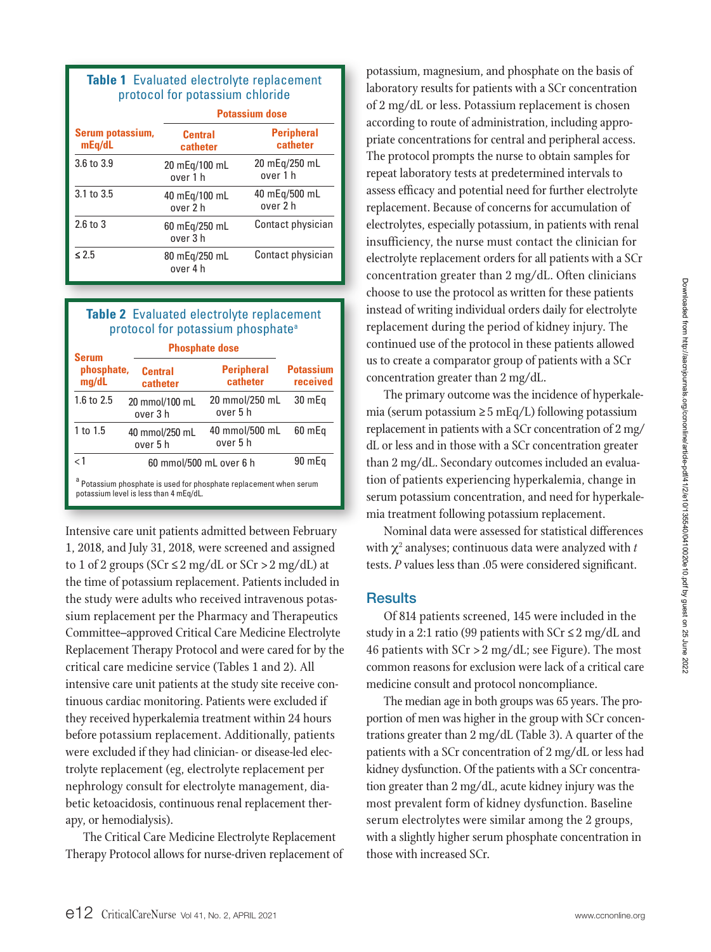## **Table 1** Evaluated electrolyte replacement protocol for potassium chloride

|                            | <b>Potassium dose</b>      |                               |  |  |
|----------------------------|----------------------------|-------------------------------|--|--|
| Serum potassium,<br>mEq/dL | <b>Central</b><br>catheter | <b>Peripheral</b><br>catheter |  |  |
| 3.6 to 3.9                 | 20 mEg/100 mL<br>over 1 h  | 20 mEg/250 mL<br>over 1 h     |  |  |
| 3.1 to 3.5                 | 40 mEg/100 mL<br>over 2 h  | 40 mEg/500 mL<br>over 2 h     |  |  |
| 2.6 to 3                   | 60 mEg/250 mL<br>over 3 h  | Contact physician             |  |  |
| $\leq 2.5$                 | 80 mEq/250 mL<br>over 4 h  | Contact physician             |  |  |

## **Table 2** Evaluated electrolyte replacement protocol for potassium phosphate<sup>a</sup>

| <b>Serum</b>        | <b>Phosphate dose</b>                  |                                                                               |                              |  |  |
|---------------------|----------------------------------------|-------------------------------------------------------------------------------|------------------------------|--|--|
| phosphate,<br>mq/dL | <b>Central</b><br>catheter             | <b>Peripheral</b><br>catheter                                                 | <b>Potassium</b><br>received |  |  |
| 1.6 to 2.5          | 20 mmol/100 mL<br>over 3 h             | 20 mmol/250 mL<br>over 5 h                                                    | 30 mEq                       |  |  |
| 1 to 1.5            | 40 mmol/250 mL<br>over 5 h             | 40 mmol/500 mL<br>over 5 h                                                    | 60 mEa                       |  |  |
| $\lt 1$             |                                        | 60 mmol/500 mL over 6 h                                                       |                              |  |  |
|                     | potassium level is less than 4 mEq/dL. | <sup>a</sup> Potassium phosphate is used for phosphate replacement when serum |                              |  |  |

Intensive care unit patients admitted between February 1, 2018, and July 31, 2018, were screened and assigned to 1 of 2 groups ( $SCr \leq 2$  mg/dL or  $SCr > 2$  mg/dL) at the time of potassium replacement. Patients included in the study were adults who received intravenous potassium replacement per the Pharmacy and Therapeutics Committee–approved Critical Care Medicine Electrolyte Replacement Therapy Protocol and were cared for by the critical care medicine service (Tables 1 and 2). All intensive care unit patients at the study site receive continuous cardiac monitoring. Patients were excluded if they received hyperkalemia treatment within 24 hours before potassium replacement. Additionally, patients were excluded if they had clinician- or disease-led electrolyte replacement (eg, electrolyte replacement per nephrology consult for electrolyte management, diabetic ketoacidosis, continuous renal replacement therapy, or hemodialysis).

The Critical Care Medicine Electrolyte Replacement Therapy Protocol allows for nurse-driven replacement of

potassium, magnesium, and phosphate on the basis of laboratory results for patients with a SCr concentration of 2 mg/dL or less. Potassium replacement is chosen according to route of administration, including appropriate concentrations for central and peripheral access. The protocol prompts the nurse to obtain samples for repeat laboratory tests at predetermined intervals to assess efficacy and potential need for further electrolyte replacement. Because of concerns for accumulation of electrolytes, especially potassium, in patients with renal insufficiency, the nurse must contact the clinician for electrolyte replacement orders for all patients with a SCr concentration greater than 2 mg/dL. Often clinicians choose to use the protocol as written for these patients instead of writing individual orders daily for electrolyte replacement during the period of kidney injury. The continued use of the protocol in these patients allowed us to create a comparator group of patients with a SCr concentration greater than 2 mg/dL.

The primary outcome was the incidence of hyperkalemia (serum potassium ≥ 5 mEq/L) following potassium replacement in patients with a SCr concentration of 2 mg/ dL or less and in those with a SCr concentration greater than 2 mg/dL. Secondary outcomes included an evaluation of patients experiencing hyperkalemia, change in serum potassium concentration, and need for hyperkalemia treatment following potassium replacement.

Nominal data were assessed for statistical differences with  $\chi^2$  analyses; continuous data were analyzed with  $t$ tests. *P* values less than .05 were considered significant.

## **Results**

Of 814 patients screened, 145 were included in the study in a 2:1 ratio (99 patients with  $SCr \le 2$  mg/dL and 46 patients with  $SCr > 2$  mg/dL; see Figure). The most common reasons for exclusion were lack of a critical care medicine consult and protocol noncompliance.

The median age in both groups was 65 years. The proportion of men was higher in the group with SCr concentrations greater than 2 mg/dL (Table 3). A quarter of the patients with a SCr concentration of 2 mg/dL or less had kidney dysfunction. Of the patients with a SCr concentration greater than 2 mg/dL, acute kidney injury was the most prevalent form of kidney dysfunction. Baseline serum electrolytes were similar among the 2 groups, with a slightly higher serum phosphate concentration in those with increased SCr.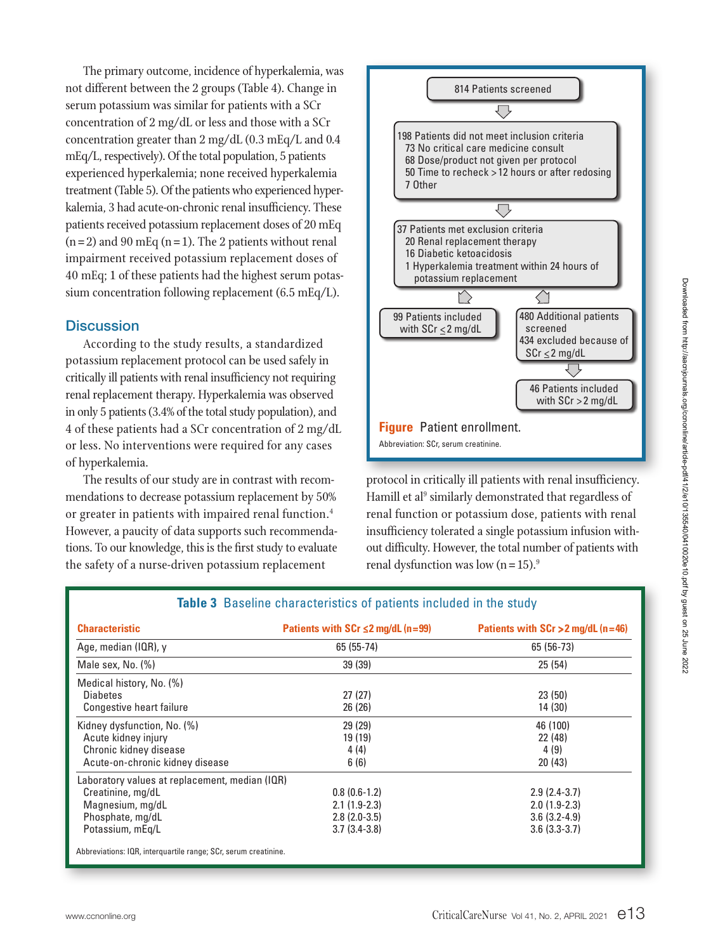The primary outcome, incidence of hyperkalemia, was not different between the 2 groups (Table 4). Change in serum potassium was similar for patients with a SCr concentration of 2 mg/dL or less and those with a SCr concentration greater than 2 mg/dL (0.3 mEq/L and 0.4 mEq/L, respectively). Of the total population, 5 patients experienced hyperkalemia; none received hyperkalemia treatment (Table 5). Of the patients who experienced hyperkalemia, 3 had acute-on-chronic renal insufficiency. These patients received potassium replacement doses of 20 mEq  $(n= 2)$  and 90 mEq  $(n= 1)$ . The 2 patients without renal impairment received potassium replacement doses of 40 mEq; 1 of these patients had the highest serum potassium concentration following replacement (6.5 mEq/L).

## **Discussion**

According to the study results, a standardized potassium replacement protocol can be used safely in critically ill patients with renal insufficiency not requiring renal replacement therapy. Hyperkalemia was observed in only 5 patients (3.4% of the total study population), and 4 of these patients had a SCr concentration of 2 mg/dL or less. No interventions were required for any cases of hyperkalemia.

The results of our study are in contrast with recommendations to decrease potassium replacement by 50% or greater in patients with impaired renal function.<sup>4</sup> However, a paucity of data supports such recommendations. To our knowledge, this is the first study to evaluate the safety of a nurse-driven potassium replacement



protocol in critically ill patients with renal insufficiency. Hamill et al<sup>9</sup> similarly demonstrated that regardless of renal function or potassium dose, patients with renal insufficiency tolerated a single potassium infusion without difficulty. However, the total number of patients with renal dysfunction was low  $(n=15)$ .<sup>9</sup>

| <b>Characteristic</b>                          | Patients with SCr $\leq$ 2 mg/dL (n=99) | Patients with $SCr > 2$ mg/dL (n=46)<br>65 (56-73) |  |
|------------------------------------------------|-----------------------------------------|----------------------------------------------------|--|
| Age, median (IQR), y                           | 65 (55-74)                              |                                                    |  |
| Male sex, No. $(\%)$                           | 39 (39)<br>25(54)                       |                                                    |  |
| Medical history, No. (%)                       |                                         |                                                    |  |
| <b>Diabetes</b>                                | 27(27)                                  | 23(50)                                             |  |
| Congestive heart failure                       | 26(26)                                  | 14 (30)                                            |  |
| Kidney dysfunction, No. (%)                    | 29 (29)                                 | 46 (100)                                           |  |
| Acute kidney injury                            | 19 (19)                                 | 22 (48)                                            |  |
| Chronic kidney disease                         | 4(4)                                    | 4(9)                                               |  |
| Acute-on-chronic kidney disease                | 6(6)                                    | 20(43)                                             |  |
| Laboratory values at replacement, median (IQR) |                                         |                                                    |  |
| Creatinine, mg/dL                              | $0.8(0.6-1.2)$                          | $2.9(2.4-3.7)$                                     |  |
| Magnesium, mg/dL                               | $2.1(1.9-2.3)$                          | $2.0(1.9-2.3)$                                     |  |
| Phosphate, mg/dL                               | $2.8(2.0-3.5)$                          | $3.6(3.2-4.9)$                                     |  |
| Potassium, mEg/L                               | $3.7(3.4-3.8)$                          | $3.6(3.3-3.7)$                                     |  |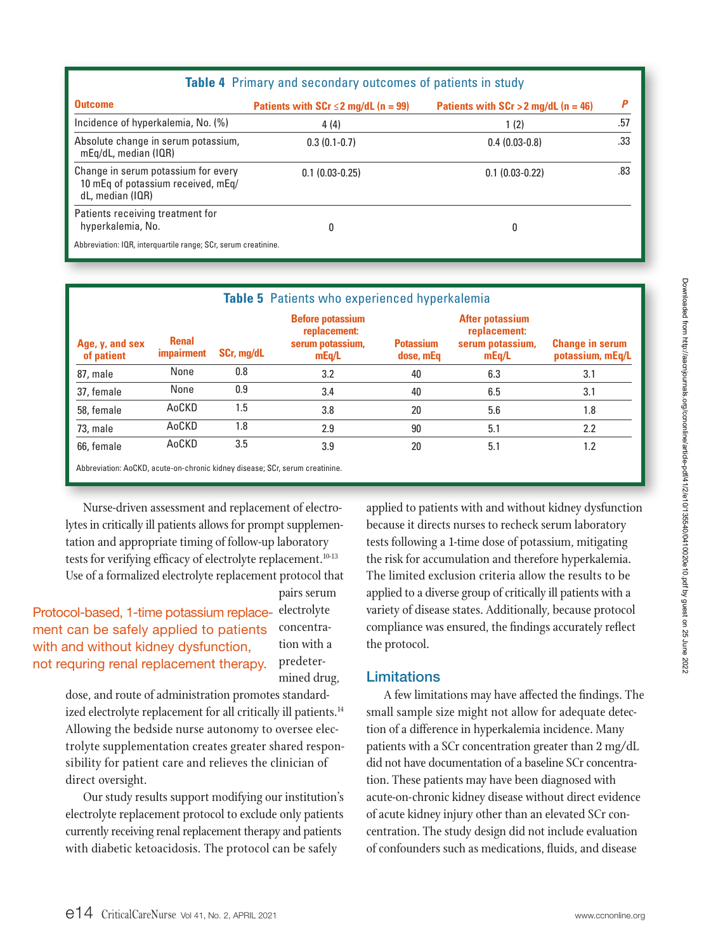| <b>Table 4</b> Primary and secondary outcomes of patients in study                            |                                          |                                        |     |  |  |  |
|-----------------------------------------------------------------------------------------------|------------------------------------------|----------------------------------------|-----|--|--|--|
| <b>Outcome</b>                                                                                | Patients with $SCr \le 2$ mg/dL (n = 99) | Patients with $SCr > 2$ mg/dL (n = 46) |     |  |  |  |
| Incidence of hyperkalemia, No. (%)                                                            | 4(4)                                     | 1(2)                                   | .57 |  |  |  |
| Absolute change in serum potassium,<br>mEg/dL, median (IQR)                                   | $0.3(0.1-0.7)$                           | $0.4(0.03-0.8)$                        | .33 |  |  |  |
| Change in serum potassium for every<br>10 mEq of potassium received, mEq/<br>dL, median (IQR) | $0.1(0.03-0.25)$                         | $0.1(0.03-0.22)$                       | .83 |  |  |  |
| Patients receiving treatment for<br>hyperkalemia, No.                                         | 0                                        | 0                                      |     |  |  |  |
| Abbreviation: IQR, interquartile range; SCr, serum creatinine.                                |                                          |                                        |     |  |  |  |

|                               |                                   |            | <b>Table 5</b> Patients who experienced hyperkalemia                 |                               |                                                              |                                            |  |
|-------------------------------|-----------------------------------|------------|----------------------------------------------------------------------|-------------------------------|--------------------------------------------------------------|--------------------------------------------|--|
| Age, y, and sex<br>of patient | <b>Renal</b><br><i>impairment</i> | SCr, mg/dL | <b>Before potassium</b><br>replacement:<br>serum potassium,<br>mEq/L | <b>Potassium</b><br>dose, mEq | After potassium<br>replacement:<br>serum potassium,<br>mEq/L | <b>Change in serum</b><br>potassium, mEq/L |  |
| 87, male                      | None                              | 0.8        | 3.2                                                                  | 40                            | 6.3                                                          | 3.1                                        |  |
| 37, female                    | None                              | 0.9        | 3.4                                                                  | 40                            | 6.5                                                          | 3.1                                        |  |
| 58, female                    | AoCKD                             | 1.5        | 3.8                                                                  | 20                            | 5.6                                                          | 1.8                                        |  |
| 73, male                      | AoCKD                             | 1.8        | 2.9                                                                  | 90                            | 5.1                                                          | 2.2                                        |  |
| 66, female                    | AoCKD                             | 3.5        | 3.9                                                                  | 20                            | 5.1                                                          | 1.2                                        |  |

Abbreviation: AoCKD, acute-on-chronic kidney disease; SCr, serum creatinine.

Nurse-driven assessment and replacement of electrolytes in critically ill patients allows for prompt supplementation and appropriate timing of follow-up laboratory tests for verifying efficacy of electrolyte replacement.<sup>10-13</sup> Use of a formalized electrolyte replacement protocol that

pairs serum

Protocol-based, 1-time potassium replace- electrolyte ment can be safely applied to patients with and without kidney dysfunction, not requring renal replacement therapy.

concentration with a predetermined drug,

dose, and route of administration promotes standardized electrolyte replacement for all critically ill patients.<sup>14</sup> Allowing the bedside nurse autonomy to oversee electrolyte supplementation creates greater shared responsibility for patient care and relieves the clinician of direct oversight.

Our study results support modifying our institution's electrolyte replacement protocol to exclude only patients currently receiving renal replacement therapy and patients with diabetic ketoacidosis. The protocol can be safely

applied to patients with and without kidney dysfunction because it directs nurses to recheck serum laboratory tests following a 1-time dose of potassium, mitigating the risk for accumulation and therefore hyperkalemia. The limited exclusion criteria allow the results to be applied to a diverse group of critically ill patients with a variety of disease states. Additionally, because protocol compliance was ensured, the findings accurately reflect the protocol.

#### Limitations

A few limitations may have affected the findings. The small sample size might not allow for adequate detection of a difference in hyperkalemia incidence. Many patients with a SCr concentration greater than 2 mg/dL did not have documentation of a baseline SCr concentration. These patients may have been diagnosed with acute-on-chronic kidney disease without direct evidence of acute kidney injury other than an elevated SCr concentration. The study design did not include evaluation of confounders such as medications, fluids, and disease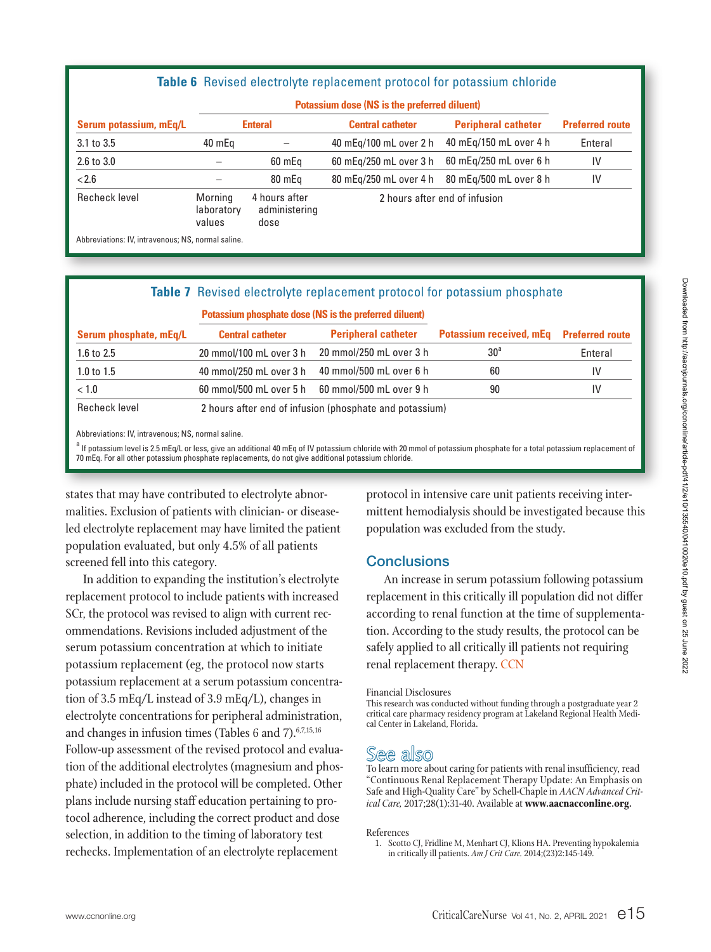#### **Table 6** Revised electrolyte replacement protocol for potassium chloride

|                        |                                 | Potassium dose (NS is the preferred diluent) |                               |                            |                        |
|------------------------|---------------------------------|----------------------------------------------|-------------------------------|----------------------------|------------------------|
| Serum potassium, mEq/L | <b>Enteral</b>                  |                                              | <b>Central catheter</b>       | <b>Peripheral catheter</b> | <b>Preferred route</b> |
| 3.1 to 3.5             | 40 mEg                          |                                              | 40 mEg/100 mL over 2 h        | 40 mEg/150 mL over 4 h     | Enteral                |
| $2.6$ to $3.0$         |                                 | 60 mEq                                       | 60 mEg/250 mL over 3 h        | 60 mEg/250 mL over 6 h     | IV                     |
| < 2.6                  |                                 | 80 mEg                                       | 80 mEg/250 mL over 4 h        | 80 mEg/500 mL over 8 h     | IV                     |
| Recheck level          | Morning<br>laboratory<br>values | 4 hours after<br>administering<br>dose       | 2 hours after end of infusion |                            |                        |
|                        |                                 |                                              |                               |                            |                        |

Abbreviations: IV, intravenous; NS, normal saline.

| <b>Table 7</b> Revised electrolyte replacement protocol for potassium phosphate |                         |                                                         |                                 |                        |  |  |
|---------------------------------------------------------------------------------|-------------------------|---------------------------------------------------------|---------------------------------|------------------------|--|--|
|                                                                                 |                         | Potassium phosphate dose (NS is the preferred diluent)  |                                 |                        |  |  |
| Serum phosphate, mEq/L                                                          | <b>Central catheter</b> | <b>Peripheral catheter</b>                              | <b>Potassium received, mEq.</b> | <b>Preferred route</b> |  |  |
| 1.6 to 2.5                                                                      | 20 mmol/100 mL over 3 h | 20 mmol/250 mL over 3 h                                 | 30 <sup>a</sup>                 | Enteral                |  |  |
| 1.0 to $1.5$                                                                    | 40 mmol/250 mL over 3 h | 40 mmol/500 mL over 6 h                                 | 60                              | IV                     |  |  |
| < 1.0                                                                           | 60 mmol/500 mL over 5 h | 60 mmol/500 mL over 9 h                                 | 90                              | IV                     |  |  |
| Recheck level                                                                   |                         | 2 hours after end of infusion (phosphate and potassium) |                                 |                        |  |  |

Abbreviations: IV, intravenous; NS, normal saline.

<sup>a</sup> If potassium level is 2.5 mEq/L or less, give an additional 40 mEq of IV potassium chloride with 20 mmol of potassium phosphate for a total potassium replacement of 70 mEq. For all other potassium phosphate replacements, do not give additional potassium chloride.

states that may have contributed to electrolyte abnormalities. Exclusion of patients with clinician- or diseaseled electrolyte replacement may have limited the patient population evaluated, but only 4.5% of all patients screened fell into this category.

In addition to expanding the institution's electrolyte replacement protocol to include patients with increased SCr, the protocol was revised to align with current recommendations. Revisions included adjustment of the serum potassium concentration at which to initiate potassium replacement (eg, the protocol now starts potassium replacement at a serum potassium concentration of 3.5 mEq/L instead of 3.9 mEq/L), changes in electrolyte concentrations for peripheral administration, and changes in infusion times (Tables 6 and 7). 6,7,15,16 Follow-up assessment of the revised protocol and evaluation of the additional electrolytes (magnesium and phosphate) included in the protocol will be completed. Other plans include nursing staff education pertaining to protocol adherence, including the correct product and dose selection, in addition to the timing of laboratory test rechecks. Implementation of an electrolyte replacement

protocol in intensive care unit patients receiving intermittent hemodialysis should be investigated because this population was excluded from the study.

## **Conclusions**

An increase in serum potassium following potassium replacement in this critically ill population did not differ according to renal function at the time of supplementation. According to the study results, the protocol can be safely applied to all critically ill patients not requiring renal replacement therapy. CCN

#### Financial Disclosures

This research was conducted without funding through a postgraduate year 2 critical care pharmacy residency program at Lakeland Regional Health Medical Center in Lakeland, Florida.

# See also

To learn more about caring for patients with renal insufficiency, read "Continuous Renal Replacement Therapy Update: An Emphasis on Safe and High-Quality Care" by Schell-Chaple in *AACN Advanced Critical Care,* 2017;28(1):31-40. Available at **www.aacnacconline.org.**

#### References

1. Scotto CJ, Fridline M, Menhart CJ, Klions HA. Preventing hypokalemia in critically ill patients. *Am J Crit Care.* 2014;(23)2:145-149.